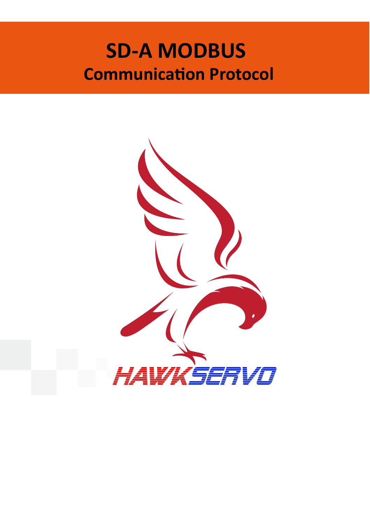# **SD-A MODBUS Communication Protocol**

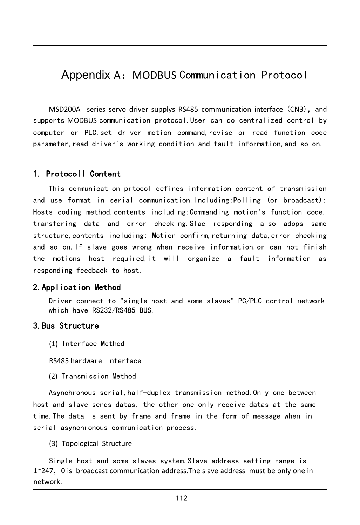# Appendix A: MODBUS Communication Protocol

MSD200A series servo driver supplys RS485 communication interface (CN3), and supports MODBUS communication protocol.User can do centralized control by computer or PLC,set driver motion command,revise or read function code parameter,read driver's working condition and fault information,and so on.

## 1. Protocoll Content

This communication prtocol defines information content of transmission and use format in serial communication. Including: Polling (or broadcast); Hosts coding method,contents including:Commanding motion's function code, transfering data and error checking.Slae responding also adops same structure,contents including: Motion confirm,returning data,error checking and so on.If slave goes wrong when receive information,or can not finish the motions host required,it will organize a fault information as responding feedback to host.

## 2.Application Method

Driver connect to "single host and some slaves" PC/PLC control network which have RS232/RS485 BUS.

## 3.Bus Structure

(1) Interface Method

RS485 hardware interface

(2) Transmission Method

x transmission method. Only one between<br>her one only receive datas at the same<br>frame in the form of message when in<br>process.<br>stem. Slave address setting range is<br>ddress.The slave address must be only one in<br>- 112 Asynchronous serial,half-duplex transmission method.Only one between host and slave sends datas, the other one only receive datas at the same time.The data is sent by frame and frame in the form of message when in serial asynchronous communication process.

(3) Topological Structure

Single host and some slaves system.Slave address setting range is 1~247,0 is broadcast communication address.The slave address must be only one in network.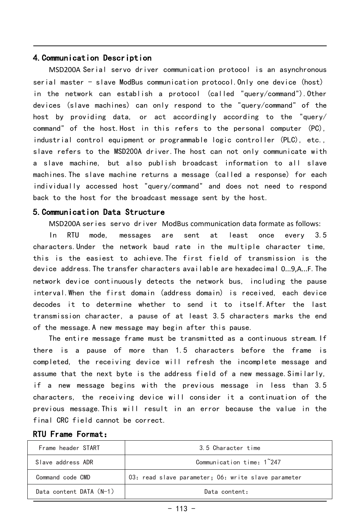## 4.Communication Description

MSD200A Serial servo driver communication protocol is an asynchronous serial master - slave ModBus communication protocol.Only one device (host) in the network can establish a protocol (called "query/command").Other devices (slave machines) can only respond to the "query/command" of the host by providing data, or act accordingly according to the "query/ command" of the host.Host in this refers to the personal computer (PC), industrial control equipment or programmable logic controller (PLC), etc., slave refers to the MSD200A driver.The host can not only communicate with a slave machine, but also publish broadcast information to all slave machines.The slave machine returns a message (called a response) for each individually accessed host "query/command" and does not need to respond back to the host for the broadcast message sent by the host.

## 5.Communication Data Structure

MSD200A series servo driver ModBus communication data formate as follows:

In RTU mode, messages are sent at least once every 3.5 characters.Under the network baud rate in the multiple character time, this is the easiest to achieve.The first field of transmission is the device address.The transfer characters available are hexadecimal 0...9,A...F.The network device continuously detects the network bus, including the pause interval.When the first domain (address domain) is received, each device decodes it to determine whether to send it to itself.After the last transmission character, a pause of at least 3.5 characters marks the end of the message.A new message may begin after this pause.

The entire message frame must be transmitted as a continuous stream.If there is a pause of more than 1.5 characters before the frame is completed, the receiving device will refresh the incomplete message and assume that the next byte is the address field of a new message.Similarly, if a new message begins with the previous message in less than 3.5 characters, the receiving device will consider it a continuation of the previous message.This will result in an error because the value in the final CRC field cannot be correct.

| <b>RTU Frame Format:</b> |  |
|--------------------------|--|
|--------------------------|--|

| Frame header START      | 3.5 Character time                                  |
|-------------------------|-----------------------------------------------------|
| Slave address ADR       | Communication time: 1~247                           |
| Command code CMD        | 03: read slave parameter; 06: write slave parameter |
| Data content DATA (N-1) | Data content:                                       |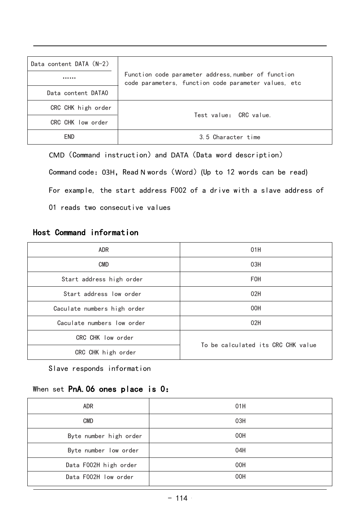| Data content DATA (N-2) |                                                                                                             |
|-------------------------|-------------------------------------------------------------------------------------------------------------|
|                         | Function code parameter address, number of function<br>code parameters, function code parameter values, etc |
| Data content DATAO      |                                                                                                             |
| CRC CHK high order      | Test value: CRC value.                                                                                      |
| CRC CHK low order       |                                                                                                             |
| <b>END</b>              | 3.5 Character time                                                                                          |

CMD (Command instruction) and DATA (Data word description) Command code: 03H, Read N words (Word) (Up to 12 words can be read) For example, the start address F002 of a drive with a slave address of 01 reads two consecutive values

# Host Command information

| <b>ADR</b>                         | 01H                                |  |
|------------------------------------|------------------------------------|--|
| <b>CMD</b>                         | 03H                                |  |
| Start address high order           | <b>FOH</b>                         |  |
| Start address low order<br>02H     |                                    |  |
| 00H<br>Caculate numbers high order |                                    |  |
| Caculate numbers low order<br>02H  |                                    |  |
| CRC CHK low order                  | To be calculated its CRC CHK value |  |
| CRC CHK high order                 |                                    |  |

Slave responds information

# When set PnA.06 ones place is 0:

| ADR                    | 01H |
|------------------------|-----|
| CMD                    | 03H |
| Byte number high order | 00H |
| Byte number low order  | 04H |
| Data F002H high order  | 00H |
| Data F002H low order   | 00H |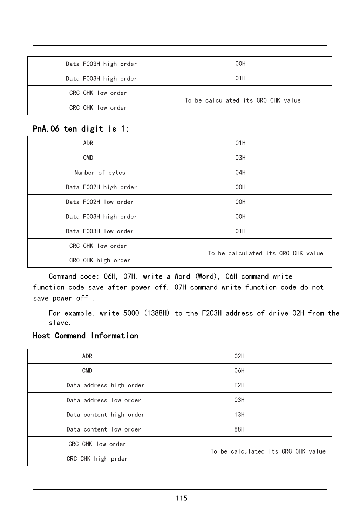| Data F003H high order | 00H                                |  |
|-----------------------|------------------------------------|--|
| Data F003H high order | 01H                                |  |
| CRC CHK low order     | To be calculated its CRC CHK value |  |
| CRC CHK low order     |                                    |  |

# PnA.06 ten digit is 1:

| <b>ADR</b>                  | 01H                                |  |
|-----------------------------|------------------------------------|--|
| CMD                         | 03H                                |  |
| Number of bytes             | 04H                                |  |
| Data F002H high order       | 00H                                |  |
| Data F002H low order        | 00H                                |  |
| Data F003H high order       | 00H                                |  |
| Data F003H low order<br>01H |                                    |  |
| CRC CHK low order           |                                    |  |
| CRC CHK high order          | To be calculated its CRC CHK value |  |

Command code: 06H, 07H, write a Word (Word), 06H command write function code save after power off, 07H command write function code do not save power off .

For example, write 5000 (1388H) to the F203H address of drive 02H from the slave.

## Host Command Information

| 02H<br>ADR<br><b>CMD</b><br>06H<br>Data address high order<br>F <sub>2</sub> H<br>03H<br>Data address low order<br>13H<br>Data content high order<br>Data content low order<br>88H<br>CRC CHK low order<br>To be calculated its CRC CHK value<br>CRC CHK high prder |  |  |  |
|---------------------------------------------------------------------------------------------------------------------------------------------------------------------------------------------------------------------------------------------------------------------|--|--|--|
|                                                                                                                                                                                                                                                                     |  |  |  |
|                                                                                                                                                                                                                                                                     |  |  |  |
|                                                                                                                                                                                                                                                                     |  |  |  |
|                                                                                                                                                                                                                                                                     |  |  |  |
|                                                                                                                                                                                                                                                                     |  |  |  |
|                                                                                                                                                                                                                                                                     |  |  |  |
|                                                                                                                                                                                                                                                                     |  |  |  |
|                                                                                                                                                                                                                                                                     |  |  |  |
|                                                                                                                                                                                                                                                                     |  |  |  |
|                                                                                                                                                                                                                                                                     |  |  |  |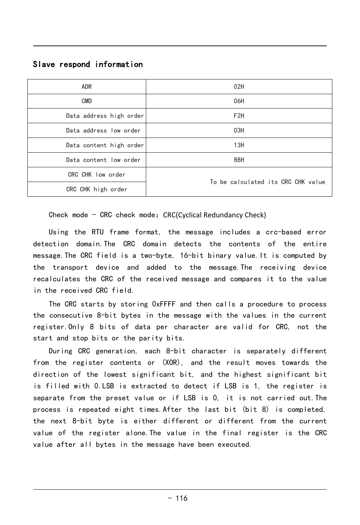## Slave respond information

| <b>ADR</b>              | 02H                                |
|-------------------------|------------------------------------|
|                         |                                    |
| <b>CMD</b>              | 06H                                |
| Data address high order | F <sub>2</sub> H                   |
|                         |                                    |
| Data address low order  | 03H                                |
|                         |                                    |
| Data content high order | 13H                                |
| Data content low order  | 88H                                |
|                         |                                    |
| CRC CHK low order       |                                    |
|                         | To be calculated its CRC CHK value |
|                         |                                    |
| CRC CHK high order      |                                    |

Check mode - CRC check mode: CRC(Cyclical Redundancy Check)

Using the RTU frame format, the message includes a crc-based error detection domain.The CRC domain detects the contents of the entire message.The CRC field is a two-byte, 16-bit binary value.It is computed by the transport device and added to the message.The receiving device recalculates the CRC of the received message and compares it to the value in the received CRC field.

The CRC starts by storing 0xFFFF and then calls a procedure to process the consecutive 8-bit bytes in the message with the values in the current register.Only 8 bits of data per character are valid for CRC, not the start and stop bits or the parity bits.

nt bit, and the highest significant bit<br>to detect if LSB is 1, the register is<br>if LSB is 0, it is not carried out. The<br>fter the last bit (bit 8) is completed,<br>ifferent or different from the current<br>value in the final regis from the register contents or (XOR), and the result moves towards the During CRC generation, each 8-bit character is separately different direction of the lowest significant bit, and the highest significant bit is filled with 0.LSB is extracted to detect if LSB is 1, the register is separate from the preset value or if LSB is 0, it is not carried out.The process is repeated eight times.After the last bit (bit 8) is completed, the next 8-bit byte is either different or different from the current value of the register alone.The value in the final register is the CRC value after all bytes in the message have been executed.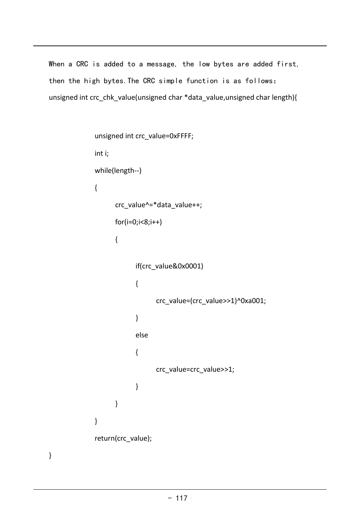When a CRC is added to a message, the low bytes are added first, then the high bytes.The CRC simple function is as follows: unsigned int crc\_chk\_value(unsigned char \*data\_value,unsigned char length){ s added to a message, the low bytes<br>th bytes. The CRC simple function is<br>rc\_chk\_value(unsigned char \*data\_value,un<br>unsigned int crc\_value=0xFFFF;<br>inti;

```
value = crc\_value \geq 1;<br>- 117s added to a message, 1<br>
sh bytes. The GRC simple<br>
rc_chk_value(unsigned char<br>
unsigned int crc_value=0xFF<br>
int i;<br>
while(length--)
while(length--)
{
      crc_value^=*data_value++;
      for(i=0; i<8; i++){
             if(crc_value&0x0001)
             \{ \qquad \qquadcrc_value=(crc_value>>1)^0xa001;
             }
             else
             {
                   crc_value=crc_value>>1;
             }
      }
}
return(crc_value);
```
}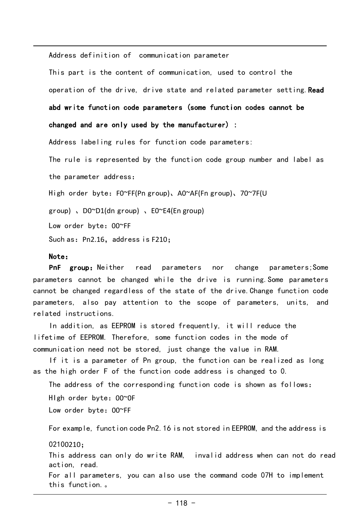```
Address definition of communication parameter
This part is the content of communication, used to control the 
operation of the drive, drive state and related parameter setting. Read
abd write function code parameters (some function codes cannot be 
changed and are only used by the manufacturer) :
Address labeling rules for function code parameters:
The rule is represented by the function code group number and label as 
the parameter address:
High order byte: F0~FF(Pn group), A0~AF(Fn group), 70~7F(U
group) 、D0~D1(dn group) 、E0~E4(En group)
Such as: Pn2.16, address is F210:
Low order byte:00~FF
```
#### Note:

this function.。

**PnF** group:Neither read parameters nor change parameters;Some parameters cannot be changed while the drive is running.Some parameters cannot be changed regardless of the state of the drive.Change function code parameters, also pay attention to the scope of parameters, units, and related instructions.

In addition, as EEPROM is stored frequently, it will reduce the lifetime of EEPROM. Therefore, some function codes in the mode of communication need not be stored, just change the value in RAM.

If it is a parameter of Pn group, the function can be realized as long as the high order F of the function code address is changed to 0.

The address of the corresponding function code is shown as follows: HIgh order byte:00~0F Low order byte:00~FF

For example, function code Pn2.16 is not stored in EEPROM, and the address is 02100210; This address can only do write RAM, invalid address when can not do read

action, read. For all parameters, you can also use the command code 07H to implement

 $- 118 -$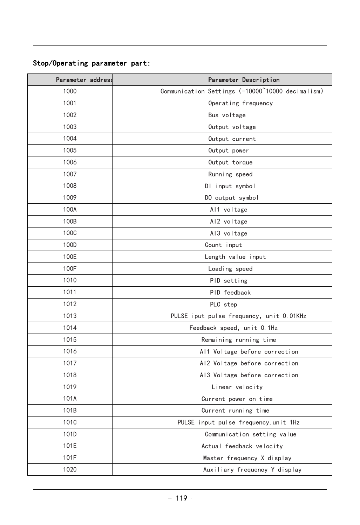## Stop/Operating parameter part:

| Communication Settings (-10000~10000 decimalism)<br>Operating frequency<br>Bus voltage<br>Output voltage<br>Output current<br>Output power<br>Output torque<br>Running speed<br>DI input symbol |
|-------------------------------------------------------------------------------------------------------------------------------------------------------------------------------------------------|
|                                                                                                                                                                                                 |
|                                                                                                                                                                                                 |
|                                                                                                                                                                                                 |
|                                                                                                                                                                                                 |
|                                                                                                                                                                                                 |
|                                                                                                                                                                                                 |
|                                                                                                                                                                                                 |
|                                                                                                                                                                                                 |
|                                                                                                                                                                                                 |
| DO output symbol                                                                                                                                                                                |
| Al1 voltage                                                                                                                                                                                     |
| Al2 voltage                                                                                                                                                                                     |
| Al3 voltage                                                                                                                                                                                     |
| Count input                                                                                                                                                                                     |
| Length value input                                                                                                                                                                              |
| Loading speed                                                                                                                                                                                   |
| PID setting                                                                                                                                                                                     |
| PID feedback                                                                                                                                                                                    |
| PLC step                                                                                                                                                                                        |
| PULSE iput pulse frequency, unit 0.01KHz                                                                                                                                                        |
| Feedback speed, unit 0.1Hz                                                                                                                                                                      |
| Remaining running time                                                                                                                                                                          |
| Al1 Voltage before correction                                                                                                                                                                   |
| Al2 Voltage before correction                                                                                                                                                                   |
| Al3 Voltage before correction                                                                                                                                                                   |
| Linear velocity                                                                                                                                                                                 |
| Current power on time                                                                                                                                                                           |
| Current running time                                                                                                                                                                            |
| PULSE input pulse frequency, unit 1Hz                                                                                                                                                           |
| Communication setting value                                                                                                                                                                     |
| Actual feedback velocity                                                                                                                                                                        |
| Master frequency X display                                                                                                                                                                      |
| Auxiliary frequency Y display                                                                                                                                                                   |
|                                                                                                                                                                                                 |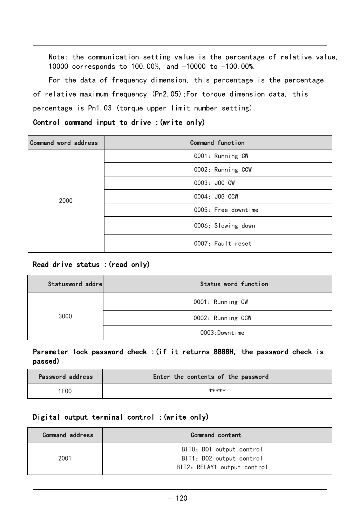Note: the communication setting value is the percentage of relative value, 10000 corresponds to 100.00%, and -10000 to -100.00%.

For the data of frequency dimension, this percentage is the percentage of relative maximum frequency (Pn2.05);For torque dimension data, this percentage is Pn1.03 (torque upper limit number setting).

#### Control command input to drive :(write only)

| Command word address | Command function    |
|----------------------|---------------------|
| 2000                 | 0001: Running CW    |
|                      | 0002: Running CCW   |
|                      | 0003: JOG CW        |
|                      | 0004: JOG CCW       |
|                      | 0005: Free downtime |
|                      | 0006: Slowing down  |
|                      | 0007: Fault reset   |

## Read drive status :(read only)

| Statusword addre | Status word function |
|------------------|----------------------|
| 3000             | 0001: Running CW     |
|                  | 0002: Running CCW    |
|                  | 0003: Downtime       |

Parameter lock password check :(if it returns 8888H, the password check is passed)

| Password address | Enter the contents of the password |
|------------------|------------------------------------|
| 1F00             | k****                              |

#### Digital output terminal control :(write only)

| Password address | Enter the contents of the password             |  |  |  |  |  |
|------------------|------------------------------------------------|--|--|--|--|--|
| 1F00             | *****                                          |  |  |  |  |  |
|                  | Digital output terminal control : (write only) |  |  |  |  |  |
| Command address  | Command content                                |  |  |  |  |  |
|                  | BITO: D01 output control                       |  |  |  |  |  |
| 2001             | BIT1: D02 output control                       |  |  |  |  |  |
|                  | BIT2: RELAY1 output control                    |  |  |  |  |  |
|                  |                                                |  |  |  |  |  |
|                  | $-120$                                         |  |  |  |  |  |
|                  |                                                |  |  |  |  |  |
|                  |                                                |  |  |  |  |  |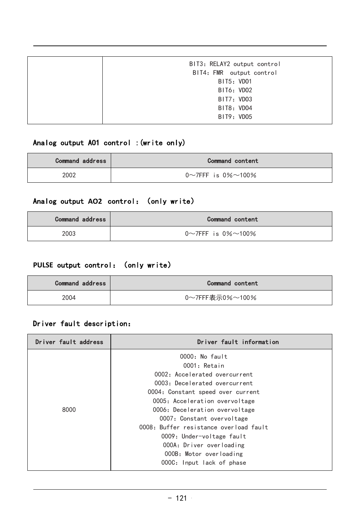| BIT3: RELAY2 output control |
|-----------------------------|
| BIT4: FMR output control    |
| BIT5: VD01                  |
| BIT6: VDO2                  |
| BIT7: VD03                  |
| BIT8: VD04                  |
| BIT9: VD05                  |
|                             |

## Analog output AO1 control :(write only)

| <b>Command address</b> | Command content                    |
|------------------------|------------------------------------|
| 2002                   | $0 \sim 7$ FFF is $0\% \sim 100\%$ |

# Analog output AO2 control: (only write)

| <b>Command address</b> | Command content                    |
|------------------------|------------------------------------|
| 2003                   | $0 \sim 7$ FFF is $0\% \sim 100\%$ |

## PULSE output control: (only write)

| <b>Command address</b> | <b>Command content</b> |
|------------------------|------------------------|
| 2004                   | 0~7FFF表示0%~100%        |

# Driver fault description:

| 0000: No fault<br>0001: Retain<br>0002: Accelerated overcurrent<br>0003: Decelerated overcurrent<br>0004: Constant speed over current<br>0005: Acceleration overvoltage |
|-------------------------------------------------------------------------------------------------------------------------------------------------------------------------|
|                                                                                                                                                                         |
|                                                                                                                                                                         |
|                                                                                                                                                                         |
|                                                                                                                                                                         |
|                                                                                                                                                                         |
|                                                                                                                                                                         |
| 0006: Deceleration overvoltage                                                                                                                                          |
| 0007: Constant overvoltage                                                                                                                                              |
| 0008: Buffer resistance overload fault                                                                                                                                  |
| 0009: Under-voltage fault                                                                                                                                               |
| 000A: Driver overloading                                                                                                                                                |
| 000B: Motor overloading                                                                                                                                                 |
| 000C: Input lack of phase                                                                                                                                               |
|                                                                                                                                                                         |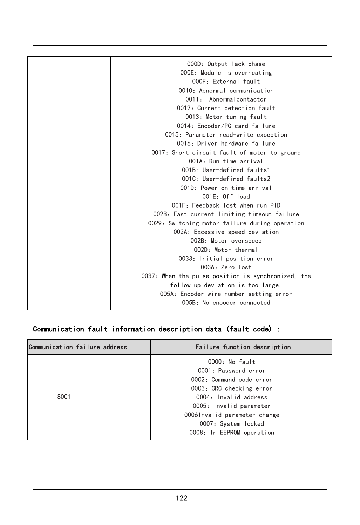| 000D: Output lack phase                            |
|----------------------------------------------------|
| 000E: Module is overheating                        |
| 000F: External fault                               |
| 0010: Abnormal communication                       |
| 0011: Abnormalcontactor                            |
| 0012: Current detection fault                      |
| 0013: Motor tuning fault                           |
| 0014: Encoder/PG card failure                      |
| 0015: Parameter read-write exception               |
| 0016: Driver hardware failure                      |
| 0017: Short circuit fault of motor to ground       |
| 001A: Run time arrival                             |
| 001B: User-defined faults1                         |
| 0010: User-defined faults2                         |
| $001D$ Power on time arrival                       |
| $001F:$ Off $load$                                 |
| 001F: Feedback lost when run PID                   |
| 0028: Fast current limiting timeout failure        |
| 0029: Switching motor failure during operation     |
| 002A: Excessive speed deviation                    |
| 002B: Motor overspeed                              |
| 002D: Motor thermal                                |
| 0033: Initial position error                       |
| 0036: Zero lost                                    |
| 0037: When the pulse position is synchronized, the |
| follow-up deviation is too large.                  |
| 005A: Encoder wire number setting error            |
| 005B: No encoder connected                         |
|                                                    |

## Communication fault information description data (fault code) :

| Communication failure address | Failure function description |
|-------------------------------|------------------------------|
|                               | 0000: No fault               |
|                               | 0001: Password error         |
|                               | 0002: Command code error     |
|                               | 0003: CRC checking error     |
| 8001                          | 0004: Invalid address        |
|                               | 0005: Invalid parameter      |
|                               | 00061nvalid parameter change |
|                               | 0007: System locked          |
|                               | 0008: In EEPROM operation    |
|                               |                              |
|                               | $-122$                       |
|                               |                              |
|                               |                              |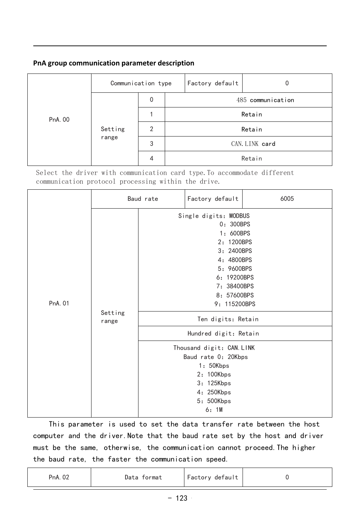#### **PnA group communication parameter description**

| PnA. 00<br>Setting<br>range | Communication type |   | Factory default |                   |        |  |
|-----------------------------|--------------------|---|-----------------|-------------------|--------|--|
|                             |                    | 0 |                 | 485 communication |        |  |
|                             |                    |   |                 | Retain            |        |  |
|                             |                    | 2 |                 |                   | Retain |  |
|                             |                    | 3 | CAN. LINK card  |                   |        |  |
|                             |                    | 4 |                 |                   | Retain |  |

Select the driver with communication card type.To accommodate different communication protocol processing within the drive.

| Single digits: MODBUS<br>0: 300BPS<br>1: 600BPS<br>2: 1200BPS<br>3: 2400BPS<br>4: 4800BPS<br>5: 9600BPS<br>6: 19200BPS<br>7: 38400BPS<br>8: 57600BPS<br>PnA. 01<br>9: 115200BPS<br>Setting<br>Ten digits: Retain<br>range<br>Hundred digit: Retain<br>Thousand digit: CAN. LINK<br>Baud rate 0: 20Kbps<br>1: 50Kbps<br>2: 100Kbps<br>3: 125Kbps<br>4: 250Kbps<br>5: 500Kbps<br>6:1M<br>This parameter is used to set the data transfer rate between the host<br>computer and the driver. Note that the baud rate set by the host and driver<br>must be the same, otherwise, the communication cannot proceed. The higher<br>the baud rate, the faster the communication speed.<br>PnA. 02<br>Data format<br>Factory default<br>0<br>$-123$ |  |  | Baud rate | Factory default | 6005 |  |
|--------------------------------------------------------------------------------------------------------------------------------------------------------------------------------------------------------------------------------------------------------------------------------------------------------------------------------------------------------------------------------------------------------------------------------------------------------------------------------------------------------------------------------------------------------------------------------------------------------------------------------------------------------------------------------------------------------------------------------------------|--|--|-----------|-----------------|------|--|
|                                                                                                                                                                                                                                                                                                                                                                                                                                                                                                                                                                                                                                                                                                                                            |  |  |           |                 |      |  |
|                                                                                                                                                                                                                                                                                                                                                                                                                                                                                                                                                                                                                                                                                                                                            |  |  |           |                 |      |  |
|                                                                                                                                                                                                                                                                                                                                                                                                                                                                                                                                                                                                                                                                                                                                            |  |  |           |                 |      |  |
|                                                                                                                                                                                                                                                                                                                                                                                                                                                                                                                                                                                                                                                                                                                                            |  |  |           |                 |      |  |
|                                                                                                                                                                                                                                                                                                                                                                                                                                                                                                                                                                                                                                                                                                                                            |  |  |           |                 |      |  |

|  | PnA. 07 | Data<br>rmat | Factory<br>detault |  |
|--|---------|--------------|--------------------|--|
|--|---------|--------------|--------------------|--|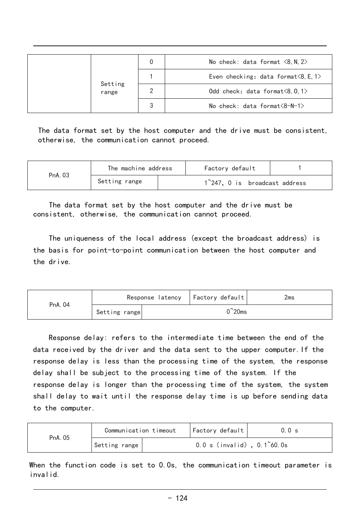|                  | 0 | No check: data format $\langle 8, N, 2 \rangle$      |
|------------------|---|------------------------------------------------------|
|                  |   | Even checking: data format $\langle 8, E, 1 \rangle$ |
| Setting<br>range |   | Odd check: data format $\langle 8, 0, 1 \rangle$     |
|                  | 3 | No check: data format $\langle 8-N-1 \rangle$        |

The data format set by the host computer and the drive must be consistent, otherwise, the communication cannot proceed.

| PnA, 03 | The machine address |                               | Factory default |  |
|---------|---------------------|-------------------------------|-----------------|--|
|         | Setting range       | 1~247. O is broadcast address |                 |  |

 The data format set by the host computer and the drive must be consistent, otherwise, the communication cannot proceed.

The uniqueness of the local address (except the broadcast address) is the basis for point-to-point communication between the host computer and the drive.

| PnA. 04 |               |  | Response latency   Factory default | 2ms |
|---------|---------------|--|------------------------------------|-----|
|         | Setting range |  | $\degree$ 20ms                     |     |

essing time of the system. If the<br>processing time of the system, the system<br>onse delay time is up before sending data<br>out Factory default 0.0 s<br>0.0 s (invalid), 0.1~60.0s<br>0s, the communication timeout parameter is<br>-124 Communication time of the intermediate time between the end of the<br>
the driver and the data sent to the upper computer. If the<br>
less than the processing time of the system, the response<br>
ject to the processing time of the Response delay: refers to the intermediate time between the end of the data received by the driver and the data sent to the upper computer.If the response delay is less than the processing time of the system, the response delay shall be subject to the processing time of the system. If the response delay is longer than the processing time of the system, the system shall delay to wait until the response delay time is up before sending data to the computer.

| PnA. 05 | Communication timeout | Factory default                       | 0.0 s |
|---------|-----------------------|---------------------------------------|-------|
|         | Setting range         | $0.0 s$ (invalid), $0.1^{\circ}60.0s$ |       |

When the function code is set to 0.0s, the communication timeout parameter is invalid.